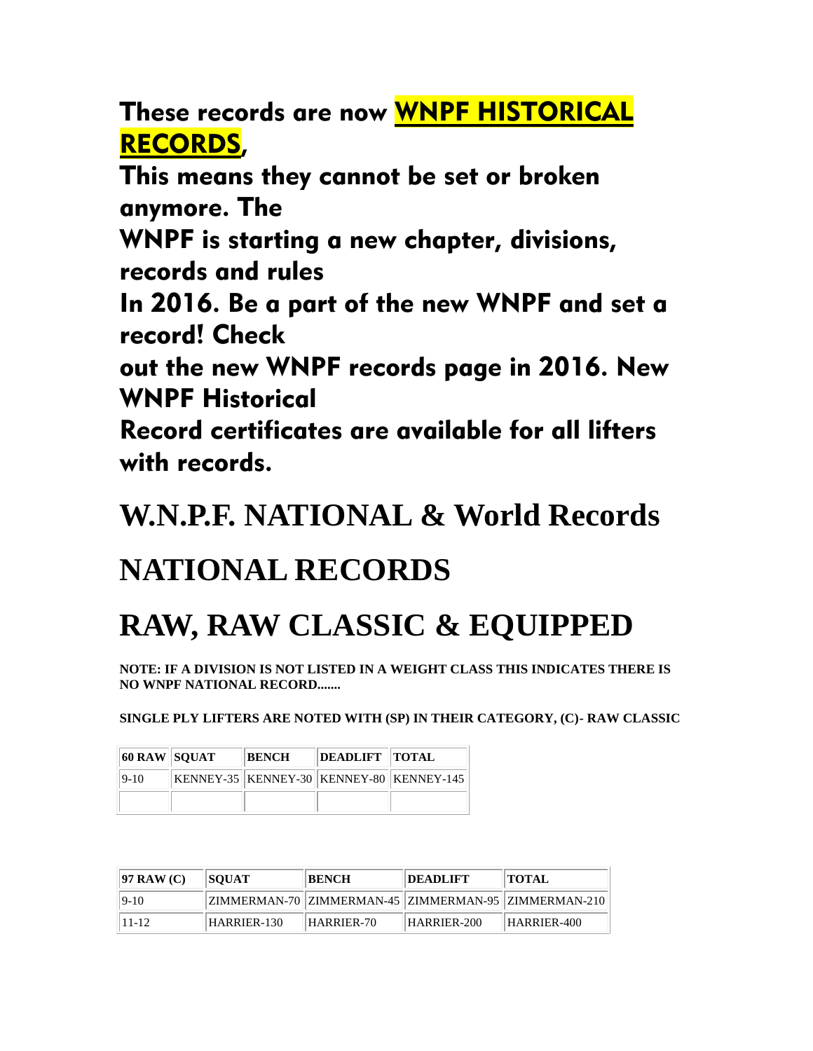These records are now WNPF HISTORICAL RECORDS,

This means they cannot be set or broken anymore. The

WNPF is starting a new chapter, divisions, records and rules

In 2016. Be a part of the new WNPF and set a record! Check

out the new WNPF records page in 2016. New WNPF Historical

Record certificates are available for all lifters with records.

**W.N.P.F. NATIONAL & World Records**

## **NATIONAL RECORDS**

## **RAW, RAW CLASSIC & EQUIPPED**

**NOTE: IF A DIVISION IS NOT LISTED IN A WEIGHT CLASS THIS INDICATES THERE IS NO WNPF NATIONAL RECORD.......**

**SINGLE PLY LIFTERS ARE NOTED WITH (SP) IN THEIR CATEGORY, (C)- RAW CLASSIC**

| <b>60 RAW SOUAT</b> | <b>BENCH</b> | <b>DEADLIFT TOTAL</b> |                                                          |
|---------------------|--------------|-----------------------|----------------------------------------------------------|
| $9-10$              |              |                       | $ KENNEY-35 $ $ KENNEY-30 $ $ KENNEY-80 $ $ KENNEY-145 $ |
|                     |              |                       |                                                          |

| $ 97$ RAW (C) | <b>SOUAT</b> | <b>BENCH</b> | <b>DEADLIFT</b> | TOTAL                                                      |
|---------------|--------------|--------------|-----------------|------------------------------------------------------------|
| $ 9-10$       |              |              |                 | ZIMMERMAN-70   ZIMMERMAN-45   ZIMMERMAN-95   ZIMMERMAN-210 |
| $11 - 12$     | HARRIER-130  | $HARRIER-70$ | $HARRIER-200$   | $HARRIER-400$                                              |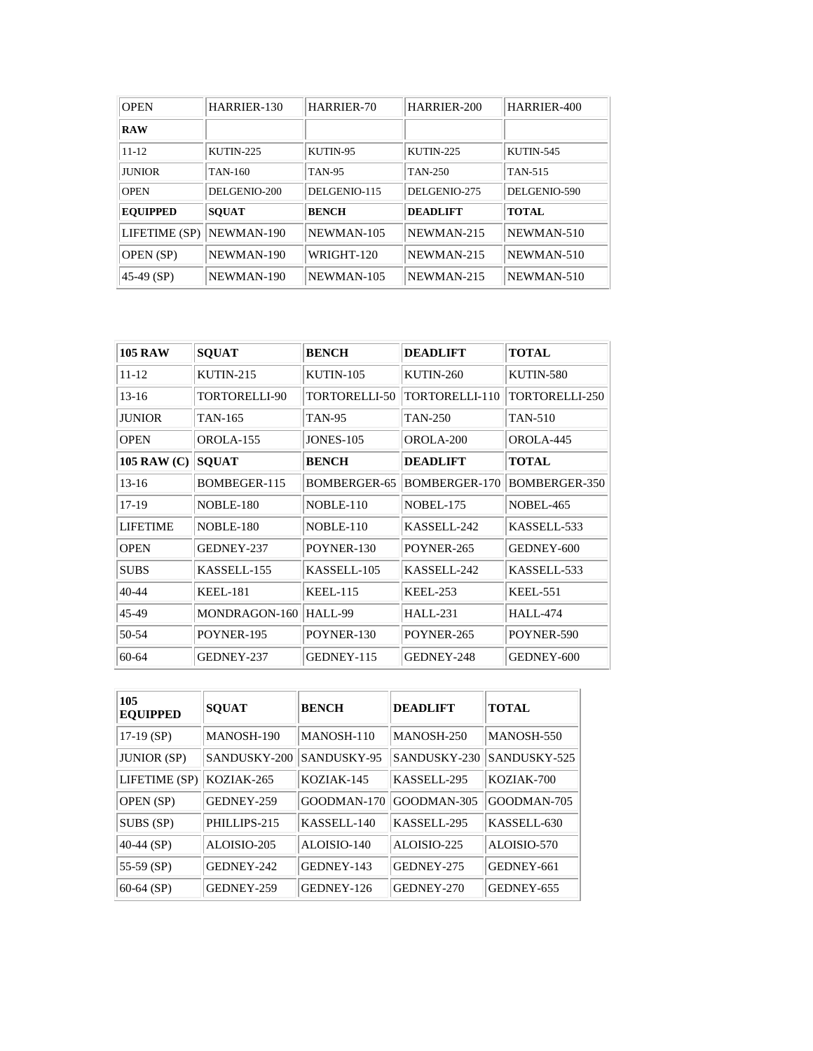| <b>OPEN</b>      | HARRIER-130  | HARRIER-70    | HARRIER-200     | HARRIER-400      |
|------------------|--------------|---------------|-----------------|------------------|
| <b>RAW</b>       |              |               |                 |                  |
| $11 - 12$        | KUTIN-225    | KUTIN-95      | KUTIN-225       | <b>KUTIN-545</b> |
| <b>JUNIOR</b>    | TAN-160      | <b>TAN-95</b> | <b>TAN-250</b>  | <b>TAN-515</b>   |
| <b>OPEN</b>      | DELGENIO-200 | DELGENIO-115  | DELGENIO-275    | DELGENIO-590     |
| <b>EQUIPPED</b>  | <b>SQUAT</b> | <b>BENCH</b>  | <b>DEADLIFT</b> | <b>TOTAL</b>     |
| LIFETIME (SP)    | NEWMAN-190   | NEWMAN-105    | NEWMAN-215      | NEWMAN-510       |
| <b>OPEN</b> (SP) | NEWMAN-190   | WRIGHT-120    | NEWMAN-215      | NEWMAN-510       |
| 45-49 (SP)       | NEWMAN-190   | NEWMAN-105    | NEWMAN-215      | NEWMAN-510       |

| <b>105 RAW</b>     | <b>SOUAT</b>     | <b>BENCH</b>        | <b>DEADLIFT</b>  | <b>TOTAL</b>     |
|--------------------|------------------|---------------------|------------------|------------------|
| $11 - 12$          | KUTIN-215        | <b>KUTIN-105</b>    | KUTIN-260        | KUTIN-580        |
| $13-16$            | TORTORELLI-90    | TORTORELLI-50       | TORTORELLI-110   | TORTORELLI-250   |
| <b>JUNIOR</b>      | TAN-165          | <b>TAN-95</b>       | TAN-250          | TAN-510          |
| <b>OPEN</b>        | OROLA-155        | <b>JONES-105</b>    | OROLA-200        | OROLA-445        |
| <b>105 RAW (C)</b> | <b>SOUAT</b>     | <b>BENCH</b>        | <b>DEADLIFT</b>  | TOTAL            |
| $13 - 16$          | BOMBEGER-115     | <b>BOMBERGER-65</b> | BOMBERGER-170    | BOMBERGER-350    |
| $17-19$            | <b>NOBLE-180</b> | <b>NOBLE-110</b>    | <b>NOBEL-175</b> | <b>NOBEL-465</b> |
| <b>LIFETIME</b>    | <b>NOBLE-180</b> | $NOBLE-110$         | KASSELL-242      | KASSELL-533      |
| <b>OPEN</b>        | GEDNEY-237       | POYNER-130          | POYNER-265       | GEDNEY-600       |
| <b>SUBS</b>        | KASSELL-155      | KASSELL-105         | KASSELL-242      | KASSELL-533      |
| $40 - 44$          | <b>KEEL-181</b>  | <b>KEEL-115</b>     | <b>KEEL-253</b>  | <b>KEEL-551</b>  |
| 45-49              | MONDRAGON-160    | HALL-99             | <b>HALL-231</b>  | <b>HALL-474</b>  |
| 50-54              | POYNER-195       | POYNER-130          | POYNER-265       | POYNER-590       |
| 60-64              | GEDNEY-237       | GEDNEY-115          | GEDNEY-248       | GEDNEY-600       |

| 105<br><b>EQUIPPED</b> | <b>SOUAT</b> | <b>BENCH</b> | <b>DEADLIFT</b> | <b>TOTAL</b> |
|------------------------|--------------|--------------|-----------------|--------------|
| $17-19$ (SP)           | MANOSH-190   | MANOSH-110   | MANOSH-250      | MANOSH-550   |
| <b>JUNIOR</b> (SP)     | SANDUSKY-200 | SANDUSKY-95  | SANDUSKY-230    | SANDUSKY-525 |
| LIFETIME (SP)          | KOZIAK-265   | KOZIAK-145   | KASSELL-295     | KOZIAK-700   |
| <b>OPEN</b> (SP)       | GEDNEY-259   | GOODMAN-170  | GOODMAN-305     | GOODMAN-705  |
| SUBS (SP)              | PHILLIPS-215 | KASSELL-140  | KASSELL-295     | KASSELL-630  |
| 40-44 $(SP)$           | ALOISIO-205  | ALOISIO-140  | ALOISIO-225     | ALOISIO-570  |
| 55-59 (SP)             | GEDNEY-242   | GEDNEY-143   | GEDNEY-275      | GEDNEY-661   |
| $60-64$ (SP)           | GEDNEY-259   | GEDNEY-126   | GEDNEY-270      | GEDNEY-655   |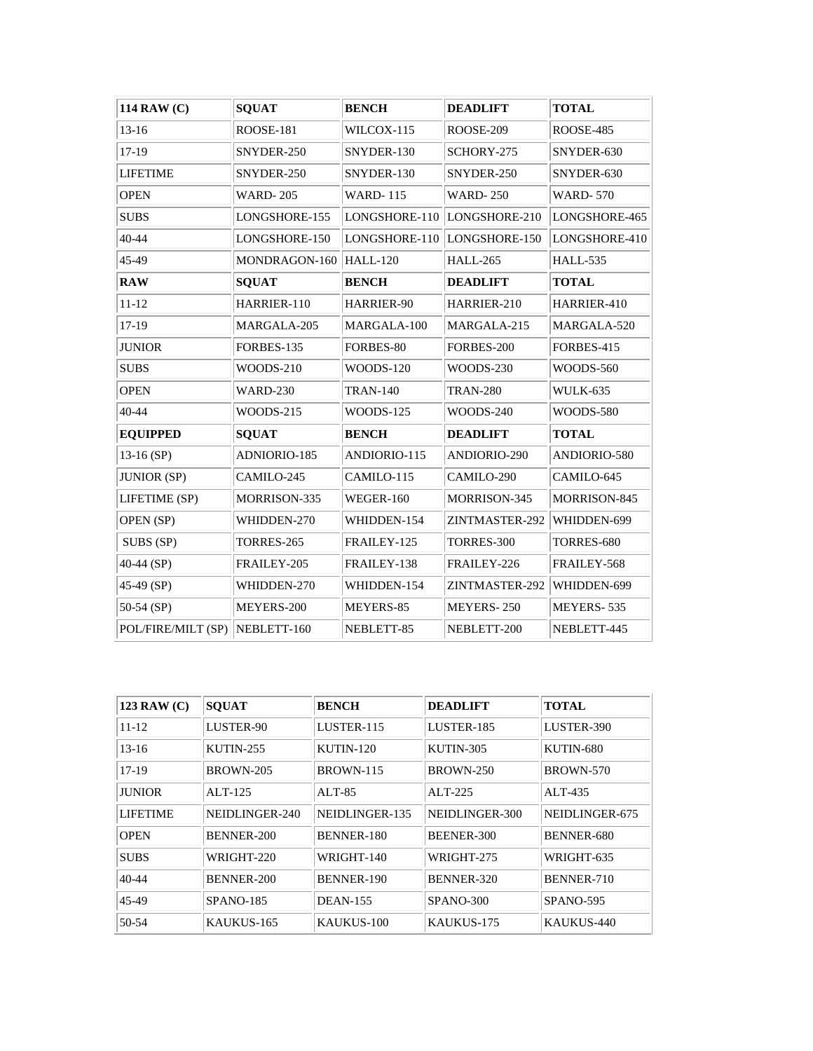| 114 RAW (C)                    | <b>SQUAT</b>        | <b>BENCH</b>    | <b>DEADLIFT</b>     | <b>TOTAL</b>        |
|--------------------------------|---------------------|-----------------|---------------------|---------------------|
| $13-16$                        | ROOSE-181           | WILCOX-115      | ROOSE-209           | ROOSE-485           |
| 17-19                          | SNYDER-250          | SNYDER-130      | SCHORY-275          | SNYDER-630          |
| <b>LIFETIME</b>                | SNYDER-250          | SNYDER-130      | SNYDER-250          | SNYDER-630          |
| <b>OPEN</b>                    | <b>WARD-205</b>     | <b>WARD-115</b> | <b>WARD-250</b>     | <b>WARD-570</b>     |
| <b>SUBS</b>                    | LONGSHORE-155       | LONGSHORE-110   | LONGSHORE-210       | LONGSHORE-465       |
| 40-44                          | LONGSHORE-150       | LONGSHORE-110   | LONGSHORE-150       | LONGSHORE-410       |
| 45-49                          | MONDRAGON-160       | <b>HALL-120</b> | <b>HALL-265</b>     | <b>HALL-535</b>     |
| <b>RAW</b>                     | <b>SOUAT</b>        | <b>BENCH</b>    | <b>DEADLIFT</b>     | <b>TOTAL</b>        |
| $11 - 12$                      | HARRIER-110         | HARRIER-90      | HARRIER-210         | HARRIER-410         |
| 17-19                          | MARGALA-205         | MARGALA-100     | MARGALA-215         | MARGALA-520         |
| <b>JUNIOR</b>                  | FORBES-135          | FORBES-80       | FORBES-200          | FORBES-415          |
| <b>SUBS</b>                    | WOODS-210           | WOODS-120       | WOODS-230           | WOODS-560           |
| <b>OPEN</b>                    | <b>WARD-230</b>     | <b>TRAN-140</b> | <b>TRAN-280</b>     | <b>WULK-635</b>     |
| $40 - 44$                      | WOODS-215           | WOODS-125       | WOODS-240           | WOODS-580           |
| <b>EQUIPPED</b>                | <b>SQUAT</b>        | <b>BENCH</b>    | <b>DEADLIFT</b>     | <b>TOTAL</b>        |
| $13-16$ (SP)                   | ADNIORIO-185        | ANDIORIO-115    | ANDIORIO-290        | ANDIORIO-580        |
| <b>JUNIOR</b> (SP)             | CAMILO-245          | CAMILO-115      | CAMILO-290          | CAMILO-645          |
| LIFETIME (SP)                  | <b>MORRISON-335</b> | WEGER-160       | <b>MORRISON-345</b> | <b>MORRISON-845</b> |
| OPEN (SP)                      | WHIDDEN-270         | WHIDDEN-154     | ZINTMASTER-292      | WHIDDEN-699         |
| SUBS (SP)                      | TORRES-265          | FRAILEY-125     | TORRES-300          | TORRES-680          |
| 40-44 (SP)                     | FRAILEY-205         | FRAILEY-138     | FRAILEY-226         | FRAILEY-568         |
| 45-49 (SP)                     | WHIDDEN-270         | WHIDDEN-154     | ZINTMASTER-292      | WHIDDEN-699         |
| 50-54 $(SP)$                   | MEYERS-200          | MEYERS-85       | <b>MEYERS-250</b>   | MEYERS-535          |
| POL/FIRE/MILT (SP) NEBLETT-160 |                     | NEBLETT-85      | NEBLETT-200         | NEBLETT-445         |

| $123$ RAW $(C)$ | <b>SOUAT</b>     | <b>BENCH</b>     | <b>DEADLIFT</b> | <b>TOTAL</b>   |
|-----------------|------------------|------------------|-----------------|----------------|
| $11 - 12$       | LUSTER-90        | LUSTER-115       | LUSTER-185      | LUSTER-390     |
| $13 - 16$       | <b>KUTIN-255</b> | KUTIN-120        | KUTIN-305       | KUTIN-680      |
| $17-19$         | <b>BROWN-205</b> | <b>BROWN-115</b> | BROWN-250       | BROWN-570      |
| <b>JUNIOR</b>   | $ALT-125$        | $ALT-85$         | ALT-225         | ALT-435        |
| <b>LIFETIME</b> | NEIDLINGER-240   | NEIDLINGER-135   | NEIDLINGER-300  | NEIDLINGER-675 |
| <b>OPEN</b>     | BENNER-200       | BENNER-180       | BEENER-300      | BENNER-680     |
| <b>SUBS</b>     | WRIGHT-220       | WRIGHT-140       | WRIGHT-275      | WRIGHT-635     |
| $40 - 44$       | BENNER-200       | BENNER-190       | BENNER-320      | BENNER-710     |
| 45-49           | SPANO-185        | <b>DEAN-155</b>  | SPANO-300       | SPANO-595      |
| $50-54$         | KAUKUS-165       | KAUKUS-100       | KAUKUS-175      | KAUKUS-440     |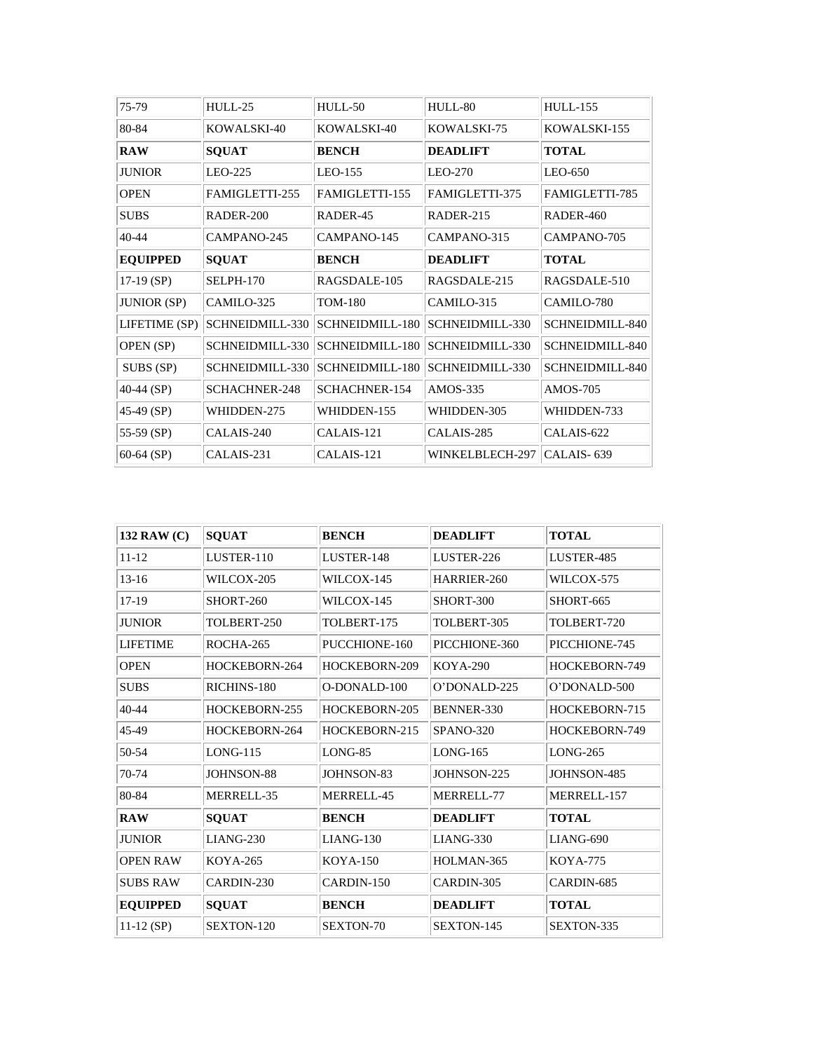| 75-79              | $HUL-25$             | HULL-50         | $HUL-80$        | $HUL-155$       |
|--------------------|----------------------|-----------------|-----------------|-----------------|
| 80-84              | KOWALSKI-40          | KOWALSKI-40     | KOWALSKI-75     | KOWALSKI-155    |
| <b>RAW</b>         | <b>SQUAT</b>         | <b>BENCH</b>    | <b>DEADLIFT</b> | <b>TOTAL</b>    |
| <b>JUNIOR</b>      | LEO-225              | $LEO-155$       | LEO-270         | $LEO-650$       |
| <b>OPEN</b>        | FAMIGLETTI-255       | FAMIGLETTI-155  | FAMIGLETTI-375  | FAMIGLETTI-785  |
| <b>SUBS</b>        | RADER-200            | RADER-45        | RADER-215       | RADER-460       |
| $40 - 44$          | CAMPANO-245          | CAMPANO-145     | CAMPANO-315     | CAMPANO-705     |
| <b>EQUIPPED</b>    | <b>SQUAT</b>         | <b>BENCH</b>    | <b>DEADLIFT</b> | <b>TOTAL</b>    |
| $17-19$ (SP)       | SELPH-170            | RAGSDALE-105    | RAGSDALE-215    | RAGSDALE-510    |
| <b>JUNIOR</b> (SP) | CAMILO-325           | <b>TOM-180</b>  | CAMILO-315      | CAMILO-780      |
| LIFETIME (SP)      | SCHNEIDMILL-330      | SCHNEIDMILL-180 | SCHNEIDMILL-330 | SCHNEIDMILL-840 |
| OPEN (SP)          | SCHNEIDMILL-330      | SCHNEIDMILL-180 | SCHNEIDMILL-330 | SCHNEIDMILL-840 |
| SUBS (SP)          | SCHNEIDMILL-330      | SCHNEIDMILL-180 | SCHNEIDMILL-330 | SCHNEIDMILL-840 |
| 40-44 (SP)         | <b>SCHACHNER-248</b> | SCHACHNER-154   | AMOS-335        | <b>AMOS-705</b> |
| 45-49 (SP)         | WHIDDEN-275          | WHIDDEN-155     | WHIDDEN-305     | WHIDDEN-733     |
| 55-59 (SP)         | CALAIS-240           | CALAIS-121      | CALAIS-285      | CALAIS-622      |
| $60-64$ (SP)       | CALAIS-231           | CALAIS-121      | WINKELBLECH-297 | CALAIS-639      |

| 132 RAW (C)     | <b>SOUAT</b>  | <b>BENCH</b>      | <b>DEADLIFT</b> | <b>TOTAL</b>     |
|-----------------|---------------|-------------------|-----------------|------------------|
| $11 - 12$       | LUSTER-110    | LUSTER-148        | LUSTER-226      | LUSTER-485       |
| $13-16$         | WILCOX-205    | WILCOX-145        | HARRIER-260     | WILCOX-575       |
| 17-19           | SHORT-260     | <b>WILCOX-145</b> | SHORT-300       | <b>SHORT-665</b> |
| <b>JUNIOR</b>   | TOLBERT-250   | TOLBERT-175       | TOLBERT-305     | TOLBERT-720      |
| <b>LIFETIME</b> | ROCHA-265     | PUCCHIONE-160     | PICCHIONE-360   | PICCHIONE-745    |
| <b>OPEN</b>     | HOCKEBORN-264 | HOCKEBORN-209     | KOYA-290        | HOCKEBORN-749    |
| <b>SUBS</b>     | RICHINS-180   | O-DONALD-100      | O'DONALD-225    | O'DONALD-500     |
| 40-44           | HOCKEBORN-255 | HOCKEBORN-205     | BENNER-330      | HOCKEBORN-715    |
| 45-49           | HOCKEBORN-264 | HOCKEBORN-215     | SPANO-320       | HOCKEBORN-749    |
| 50-54           | $LONG-115$    | LONG-85           | $LONG-165$      | $LONG-265$       |
| 70-74           | JOHNSON-88    | JOHNSON-83        | JOHNSON-225     | JOHNSON-485      |
| 80-84           | MERRELL-35    | MERRELL-45        | MERRELL-77      | MERRELL-157      |
| <b>RAW</b>      | <b>SQUAT</b>  | <b>BENCH</b>      | <b>DEADLIFT</b> | <b>TOTAL</b>     |
| <b>JUNIOR</b>   | LIANG-230     | $LIANG-130$       | $LIANG-330$     | LIANG-690        |
| <b>OPEN RAW</b> | KOYA-265      | $KOYA-150$        | HOLMAN-365      | <b>KOYA-775</b>  |
| <b>SUBS RAW</b> | CARDIN-230    | CARDIN-150        | CARDIN-305      | CARDIN-685       |
| <b>EQUIPPED</b> | <b>SQUAT</b>  | <b>BENCH</b>      | <b>DEADLIFT</b> | <b>TOTAL</b>     |
| $11-12$ (SP)    | SEXTON-120    | SEXTON-70         | SEXTON-145      | SEXTON-335       |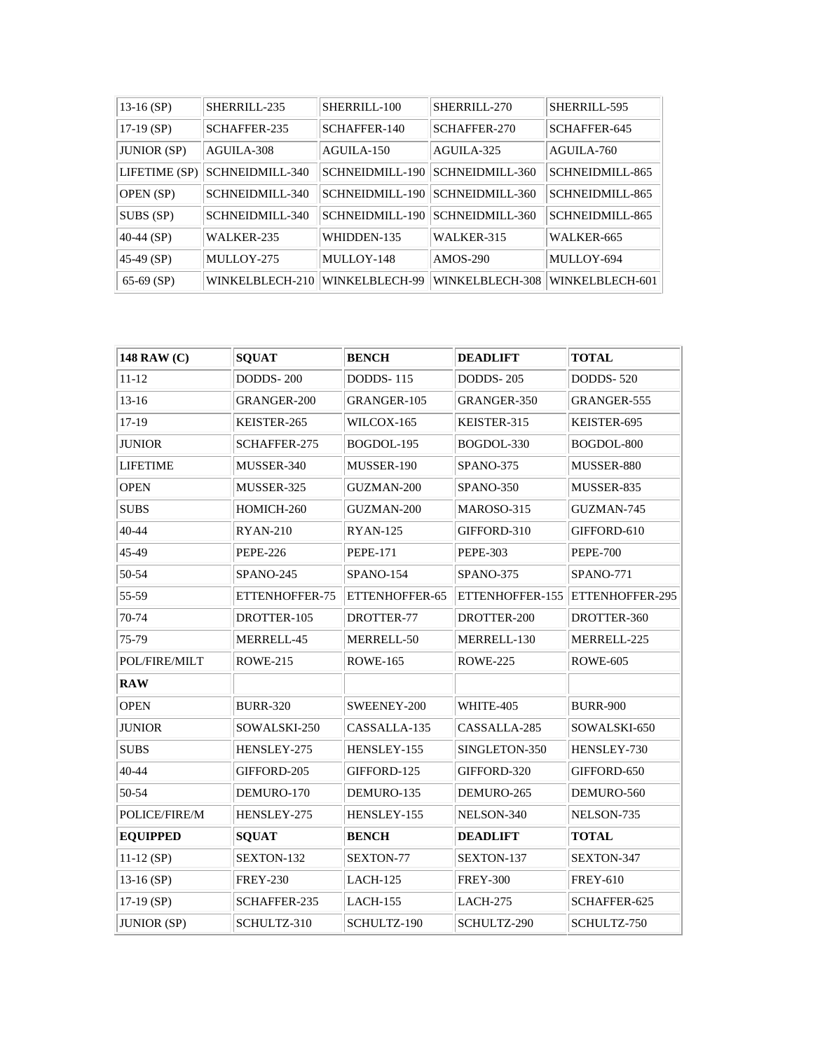| $13-16$ (SP)       | SHERRILL-235    | SHERRILL-100    | SHERRILL-270    | SHERRILL-595    |
|--------------------|-----------------|-----------------|-----------------|-----------------|
| $17-19$ (SP)       | SCHAFFER-235    | SCHAFFER-140    | SCHAFFER-270    | SCHAFFER-645    |
| <b>JUNIOR</b> (SP) | AGUILA-308      | $AGUII.A-150$   | AGUILA-325      | $AGUILA-760$    |
| LIFETIME (SP)      | SCHNEIDMILL-340 | SCHNEIDMILL-190 | SCHNEIDMILL-360 | SCHNEIDMILL-865 |
| OPEN (SP)          | SCHNEIDMILL-340 | SCHNEIDMILL-190 | SCHNEIDMILL-360 | SCHNEIDMILL-865 |
| SUBS (SP)          | SCHNEIDMILL-340 | SCHNEIDMILL-190 | SCHNEIDMILL-360 | SCHNEIDMILL-865 |
| $40-44$ (SP)       | WALKER-235      | WHIDDEN-135     | WALKER-315      | WALKER-665      |
| $ 45-49(SP) $      | MULLOY-275      | MULLOY-148      | $AMOS-290$      | MULLOY-694      |
| $65-69$ (SP)       | WINKELBLECH-210 | WINKELBLECH-99  | WINKELBLECH-308 | WINKELBLECH-601 |

| 148 RAW (C)        | <b>SQUAT</b>    | <b>BENCH</b>     | <b>DEADLIFT</b>  | <b>TOTAL</b>     |
|--------------------|-----------------|------------------|------------------|------------------|
| $11 - 12$          | DODDS-200       | <b>DODDS-115</b> | <b>DODDS-205</b> | <b>DODDS-520</b> |
| $13-16$            | GRANGER-200     | GRANGER-105      | GRANGER-350      | GRANGER-555      |
| 17-19              | KEISTER-265     | WILCOX-165       | KEISTER-315      | KEISTER-695      |
| <b>JUNIOR</b>      | SCHAFFER-275    | BOGDOL-195       | BOGDOL-330       | BOGDOL-800       |
| <b>LIFETIME</b>    | MUSSER-340      | MUSSER-190       | SPANO-375        | MUSSER-880       |
| <b>OPEN</b>        | MUSSER-325      | GUZMAN-200       | SPANO-350        | MUSSER-835       |
| <b>SUBS</b>        | HOMICH-260      | GUZMAN-200       | MAROSO-315       | GUZMAN-745       |
| 40-44              | <b>RYAN-210</b> | RYAN-125         | GIFFORD-310      | GIFFORD-610      |
| 45-49              | <b>PEPE-226</b> | <b>PEPE-171</b>  | <b>PEPE-303</b>  | <b>PEPE-700</b>  |
| 50-54              | SPANO-245       | SPANO-154        | SPANO-375        | <b>SPANO-771</b> |
| 55-59              | ETTENHOFFER-75  | ETTENHOFFER-65   | ETTENHOFFER-155  | ETTENHOFFER-295  |
| 70-74              | DROTTER-105     | DROTTER-77       | DROTTER-200      | DROTTER-360      |
| 75-79              | MERRELL-45      | MERRELL-50       | MERRELL-130      | MERRELL-225      |
| POL/FIRE/MILT      | <b>ROWE-215</b> | <b>ROWE-165</b>  | <b>ROWE-225</b>  | <b>ROWE-605</b>  |
| <b>RAW</b>         |                 |                  |                  |                  |
| <b>OPEN</b>        | <b>BURR-320</b> | SWEENEY-200      | WHITE-405        | <b>BURR-900</b>  |
| <b>JUNIOR</b>      | SOWALSKI-250    | CASSALLA-135     | CASSALLA-285     | SOWALSKI-650     |
| <b>SUBS</b>        | HENSLEY-275     | HENSLEY-155      | SINGLETON-350    | HENSLEY-730      |
| 40-44              | GIFFORD-205     | GIFFORD-125      | GIFFORD-320      | GIFFORD-650      |
| 50-54              | DEMURO-170      | DEMURO-135       | DEMURO-265       | DEMURO-560       |
| POLICE/FIRE/M      | HENSLEY-275     | HENSLEY-155      | NELSON-340       | NELSON-735       |
| <b>EQUIPPED</b>    | <b>SOUAT</b>    | <b>BENCH</b>     | <b>DEADLIFT</b>  | <b>TOTAL</b>     |
| $11-12$ (SP)       | SEXTON-132      | SEXTON-77        | SEXTON-137       | SEXTON-347       |
| $13-16$ (SP)       | <b>FREY-230</b> | $LACH-125$       | <b>FREY-300</b>  | <b>FREY-610</b>  |
| $17-19$ (SP)       | SCHAFFER-235    | LACH-155         | LACH-275         | SCHAFFER-625     |
| <b>JUNIOR</b> (SP) | SCHULTZ-310     | SCHULTZ-190      | SCHULTZ-290      | SCHULTZ-750      |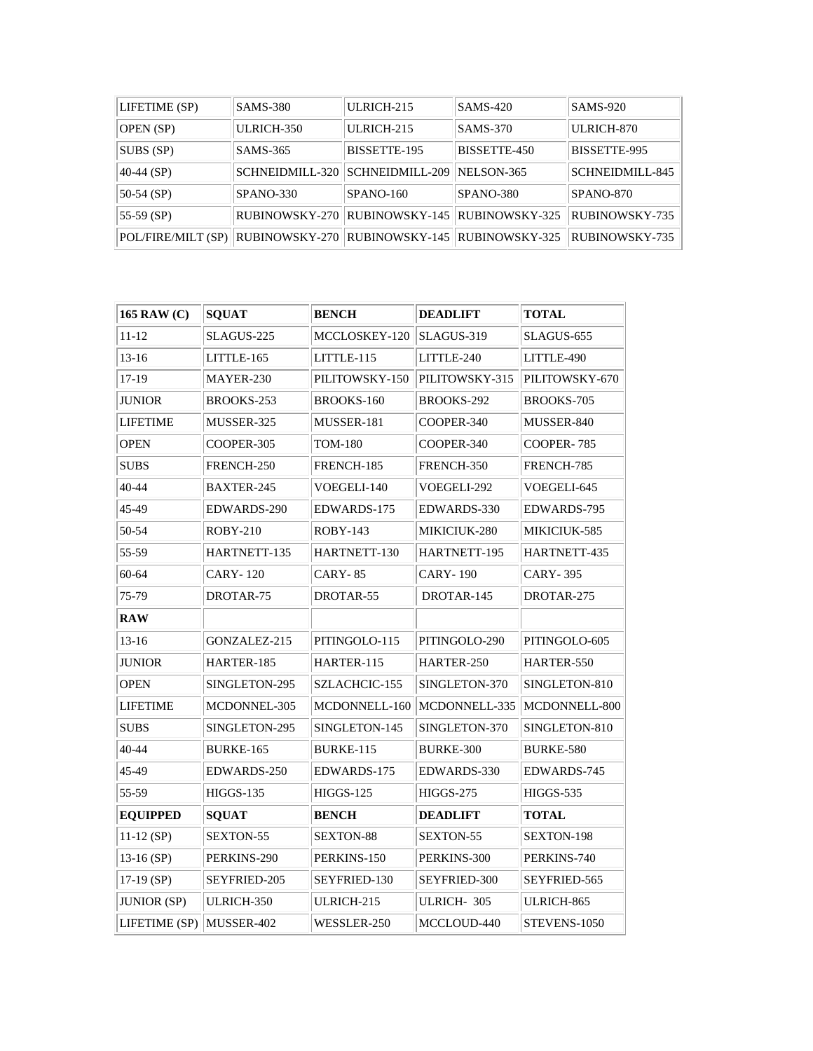| LIFETIME (SP)                     | <b>SAMS-380</b> | ULRICH-215                    | $SAMS-420$      | <b>SAMS-920</b>        |
|-----------------------------------|-----------------|-------------------------------|-----------------|------------------------|
| <b>OPEN</b> (SP)                  | ULRICH-350      | ULRICH-215                    | <b>SAMS-370</b> | ULRICH-870             |
| SUBS (SP)                         | <b>SAMS-365</b> | BISSETTE-195                  | BISSETTE-450    | BISSETTE-995           |
| 40-44 $(SP)$                      | SCHNEIDMILL-320 | <b>SCHNEIDMILL-209</b>        | NELSON-365      | <b>SCHNEIDMILL-845</b> |
| 50-54 (SP)                        | $SPANO-330$     | $SPANO-160$                   | $SPANO-380$     | $SPANO-870$            |
| 55-59 (SP)                        | RUBINOWSKY-270  | RUBINOWSKY-145 RUBINOWSKY-325 |                 | RUBINOWSKY-735         |
| POL/FIRE/MILT (SP) RUBINOWSKY-270 |                 | RUBINOWSKY-145 RUBINOWSKY-325 |                 | RUBINOWSKY-735         |

| <b>165 RAW (C)</b> | <b>SQUAT</b>      | <b>BENCH</b>     | <b>DEADLIFT</b>  | <b>TOTAL</b>      |
|--------------------|-------------------|------------------|------------------|-------------------|
| $11 - 12$          | SLAGUS-225        | MCCLOSKEY-120    | SLAGUS-319       | SLAGUS-655        |
| $13-16$            | LITTLE-165        | LITTLE-115       | LITTLE-240       | LITTLE-490        |
| 17-19              | MAYER-230         | PILITOWSKY-150   | PILITOWSKY-315   | PILITOWSKY-670    |
| JUNIOR             | BROOKS-253        | BROOKS-160       | BROOKS-292       | BROOKS-705        |
| <b>LIFETIME</b>    | MUSSER-325        | MUSSER-181       | COOPER-340       | MUSSER-840        |
| <b>OPEN</b>        | COOPER-305        | <b>TOM-180</b>   | COOPER-340       | COOPER-785        |
| <b>SUBS</b>        | FRENCH-250        | FRENCH-185       | FRENCH-350       | FRENCH-785        |
| 40-44              | <b>BAXTER-245</b> | VOEGELI-140      | VOEGELI-292      | VOEGELI-645       |
| 45-49              | EDWARDS-290       | EDWARDS-175      | EDWARDS-330      | EDWARDS-795       |
| 50-54              | <b>ROBY-210</b>   | <b>ROBY-143</b>  | MIKICIUK-280     | MIKICIUK-585      |
| 55-59              | HARTNETT-135      | HARTNETT-130     | HARTNETT-195     | HARTNETT-435      |
| 60-64              | CARY- 120         | <b>CARY-85</b>   | <b>CARY-190</b>  | CARY - 395        |
| 75-79              | DROTAR-75         | DROTAR-55        | DROTAR-145       | DROTAR-275        |
| RAW                |                   |                  |                  |                   |
| $13-16$            | GONZALEZ-215      | PITINGOLO-115    | PITINGOLO-290    | PITINGOLO-605     |
| JUNIOR             | HARTER-185        | HARTER-115       | HARTER-250       | HARTER-550        |
| <b>OPEN</b>        | SINGLETON-295     | SZLACHCIC-155    | SINGLETON-370    | SINGLETON-810     |
| <b>LIFETIME</b>    | MCDONNEL-305      | MCDONNELL-160    | MCDONNELL-335    | MCDONNELL-800     |
| <b>SUBS</b>        | SINGLETON-295     | SINGLETON-145    | SINGLETON-370    | SINGLETON-810     |
| 40-44              | <b>BURKE-165</b>  | BURKE-115        | BURKE-300        | <b>BURKE-580</b>  |
| 45-49              | EDWARDS-250       | EDWARDS-175      | EDWARDS-330      | EDWARDS-745       |
| 55-59              | <b>HIGGS-135</b>  | <b>HIGGS-125</b> | HIGGS-275        | HIGGS-535         |
| <b>EQUIPPED</b>    | <b>SOUAT</b>      | <b>BENCH</b>     | <b>DEADLIFT</b>  | <b>TOTAL</b>      |
| 11-12 $(SP)$       | SEXTON-55         | <b>SEXTON-88</b> | <b>SEXTON-55</b> | <b>SEXTON-198</b> |
| $13-16$ (SP)       | PERKINS-290       | PERKINS-150      | PERKINS-300      | PERKINS-740       |
| $17-19$ (SP)       | SEYFRIED-205      | SEYFRIED-130     | SEYFRIED-300     | SEYFRIED-565      |
| <b>JUNIOR</b> (SP) | ULRICH-350        | ULRICH-215       | ULRICH-305       | ULRICH-865        |
| LIFETIME(SP)       | MUSSER-402        | WESSLER-250      | MCCLOUD-440      | STEVENS-1050      |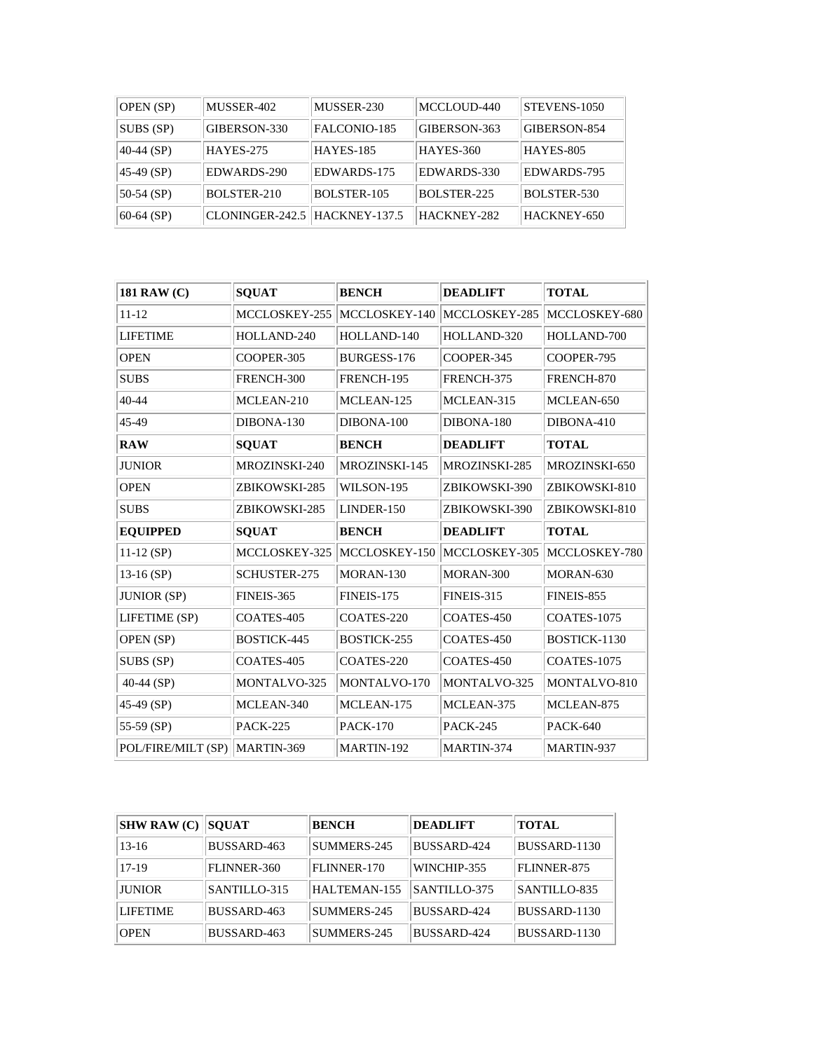| <b>OPEN</b> (SP) | MUSSER-402       | MUSSER-230         | MCCLOUD-440        | STEVENS-1050     |
|------------------|------------------|--------------------|--------------------|------------------|
| SUBS (SP)        | GIBERSON-330     | FALCONIO-185       | GIBERSON-363       | GIBERSON-854     |
| 40-44 (SP)       | <b>HAYES-275</b> | <b>HAYES-185</b>   | <b>HAYES-360</b>   | <b>HAYES-805</b> |
| 45-49 (SP)       | EDWARDS-290      | EDWARDS-175        | EDWARDS-330        | EDWARDS-795      |
| 50-54 (SP)       | BOLSTER-210      | <b>BOLSTER-105</b> | <b>BOLSTER-225</b> | BOLSTER-530      |
| $60-64$ (SP)     | CLONINGER-242.5  | HACKNEY-137.5      | HACKNEY-282        | HACKNEY-650      |

| <b>181 RAW (C)</b> | <b>SQUAT</b>    | <b>BENCH</b>    | <b>DEADLIFT</b> | <b>TOTAL</b>    |
|--------------------|-----------------|-----------------|-----------------|-----------------|
| $11 - 12$          | MCCLOSKEY-255   | MCCLOSKEY-140   | MCCLOSKEY-285   | MCCLOSKEY-680   |
| <b>LIFETIME</b>    | HOLLAND-240     | HOLLAND-140     | HOLLAND-320     | HOLLAND-700     |
| <b>OPEN</b>        | COOPER-305      | BURGESS-176     | COOPER-345      | COOPER-795      |
| <b>SUBS</b>        | FRENCH-300      | FRENCH-195      | FRENCH-375      | FRENCH-870      |
| $40 - 44$          | MCLEAN-210      | MCLEAN-125      | MCLEAN-315      | MCLEAN-650      |
| 45-49              | DIBONA-130      | DIBONA-100      | DIBONA-180      | DIBONA-410      |
| <b>RAW</b>         | <b>SQUAT</b>    | <b>BENCH</b>    | <b>DEADLIFT</b> | <b>TOTAL</b>    |
| <b>JUNIOR</b>      | MROZINSKI-240   | MROZINSKI-145   | MROZINSKI-285   | MROZINSKI-650   |
| <b>OPEN</b>        | ZBIKOWSKI-285   | WILSON-195      | ZBIKOWSKI-390   | ZBIKOWSKI-810   |
| <b>SUBS</b>        | ZBIKOWSKI-285   | LINDER-150      | ZBIKOWSKI-390   | ZBIKOWSKI-810   |
|                    |                 |                 |                 |                 |
| <b>EQUIPPED</b>    | <b>SQUAT</b>    | <b>BENCH</b>    | <b>DEADLIFT</b> | <b>TOTAL</b>    |
| $11-12$ (SP)       | MCCLOSKEY-325   | MCCLOSKEY-150   | MCCLOSKEY-305   | MCCLOSKEY-780   |
| $13-16$ (SP)       | SCHUSTER-275    | MORAN-130       | MORAN-300       | MORAN-630       |
| <b>JUNIOR</b> (SP) | FINEIS-365      | FINEIS-175      | FINEIS-315      | FINEIS-855      |
| LIFETIME (SP)      | COATES-405      | COATES-220      | COATES-450      | COATES-1075     |
| <b>OPEN</b> (SP)   | BOSTICK-445     | BOSTICK-255     | COATES-450      | BOSTICK-1130    |
| SUBS (SP)          | COATES-405      | COATES-220      | COATES-450      | COATES-1075     |
| 40-44 (SP)         | MONTALVO-325    | MONTALVO-170    | MONTALVO-325    | MONTALVO-810    |
| 45-49 (SP)         | MCLEAN-340      | MCLEAN-175      | MCLEAN-375      | MCLEAN-875      |
| 55-59 (SP)         | <b>PACK-225</b> | <b>PACK-170</b> | <b>PACK-245</b> | <b>PACK-640</b> |

| <b>SHW RAW (C)</b> | <b>SOUAT</b> | <b>BENCH</b> | <b>DEADLIFT</b> | <b>TOTAL</b> |
|--------------------|--------------|--------------|-----------------|--------------|
| $13-16$            | BUSSARD-463  | SUMMERS-245  | BUSSARD-424     | BUSSARD-1130 |
| 17-19              | FLINNER-360  | FLINNER-170  | WINCHIP-355     | FLINNER-875  |
| <b>JUNIOR</b>      | SANTILLO-315 | HALTEMAN-155 | SANTILLO-375    | SANTILLO-835 |
| <b>LIFETIME</b>    | BUSSARD-463  | SUMMERS-245  | BUSSARD-424     | BUSSARD-1130 |
| <b>OPEN</b>        | BUSSARD-463  | SUMMERS-245  | BUSSARD-424     | BUSSARD-1130 |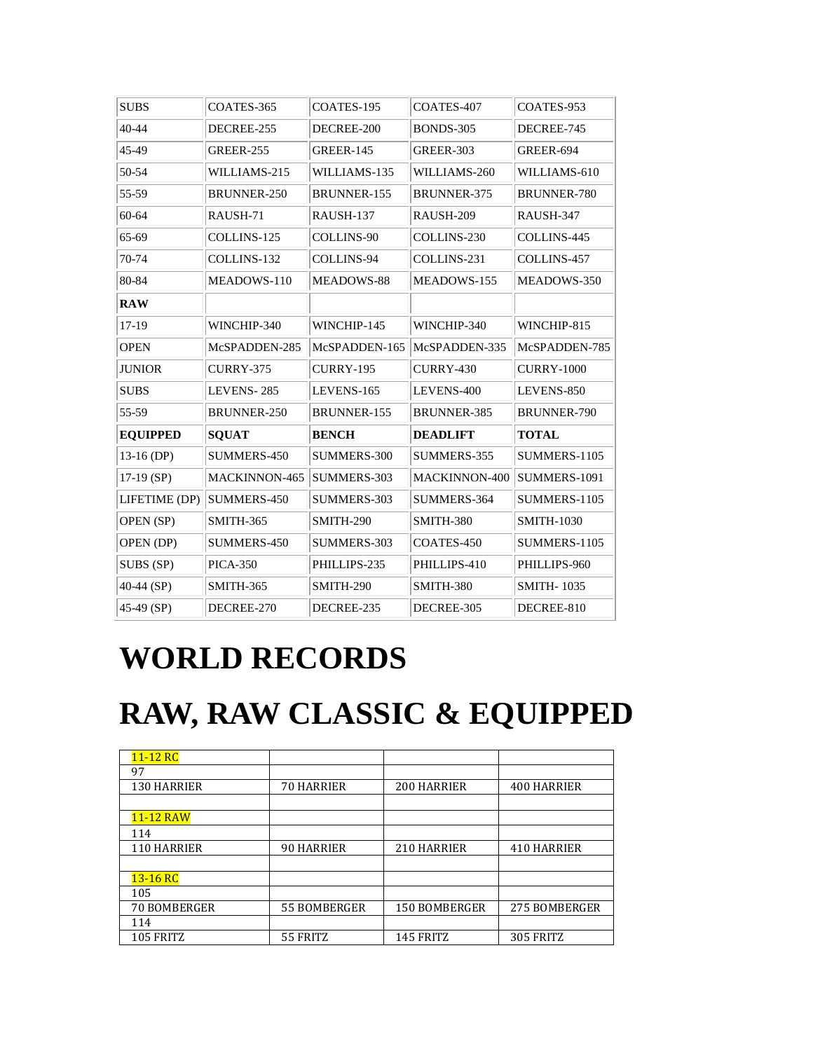| <b>SUBS</b>     | COATES-365         | COATES-195         | COATES-407           | COATES-953         |
|-----------------|--------------------|--------------------|----------------------|--------------------|
| 40-44           | DECREE-255         | DECREE-200         | <b>BONDS-305</b>     | DECREE-745         |
| 45-49           | <b>GREER-255</b>   | <b>GREER-145</b>   | <b>GREER-303</b>     | <b>GREER-694</b>   |
| 50-54           | WILLIAMS-215       | WILLIAMS-135       | WILLIAMS-260         | WILLIAMS-610       |
| 55-59           | BRUNNER-250        | <b>BRUNNER-155</b> | BRUNNER-375          | <b>BRUNNER-780</b> |
| 60-64           | RAUSH-71           | RAUSH-137          | RAUSH-209            | RAUSH-347          |
| 65-69           | COLLINS-125        | <b>COLLINS-90</b>  | COLLINS-230          | COLLINS-445        |
| 70-74           | COLLINS-132        | COLLINS-94         | COLLINS-231          | COLLINS-457        |
| 80-84           | MEADOWS-110        | MEADOWS-88         | MEADOWS-155          | MEADOWS-350        |
| <b>RAW</b>      |                    |                    |                      |                    |
| 17-19           | WINCHIP-340        | WINCHIP-145        | WINCHIP-340          | WINCHIP-815        |
| <b>OPEN</b>     | McSPADDEN-285      | McSPADDEN-165      | McSPADDEN-335        | McSPADDEN-785      |
|                 |                    |                    |                      |                    |
| <b>JUNIOR</b>   | <b>CURRY-375</b>   | <b>CURRY-195</b>   | <b>CURRY-430</b>     | <b>CURRY-1000</b>  |
| <b>SUBS</b>     | LEVENS-285         | LEVENS-165         | LEVENS-400           | LEVENS-850         |
| 55-59           | <b>BRUNNER-250</b> | <b>BRUNNER-155</b> | BRUNNER-385          | <b>BRUNNER-790</b> |
| <b>EQUIPPED</b> | <b>SOUAT</b>       | <b>BENCH</b>       | <b>DEADLIFT</b>      | <b>TOTAL</b>       |
| 13-16 (DP)      | SUMMERS-450        | SUMMERS-300        | SUMMERS-355          | SUMMERS-1105       |
| $17-19$ (SP)    | MACKINNON-465      | SUMMERS-303        | <b>MACKINNON-400</b> | SUMMERS-1091       |
| LIFETIME (DP)   | SUMMERS-450        | SUMMERS-303        | SUMMERS-364          | SUMMERS-1105       |
| OPEN (SP)       | SMITH-365          | SMITH-290          | SMITH-380            | <b>SMITH-1030</b>  |
| OPEN (DP)       | SUMMERS-450        | SUMMERS-303        | COATES-450           | SUMMERS-1105       |
| SUBS (SP)       | <b>PICA-350</b>    | PHILLIPS-235       | PHILLIPS-410         | PHILLIPS-960       |
| 40-44 (SP)      | SMITH-365          | SMITH-290          | SMITH-380            | <b>SMITH-1035</b>  |

## **WORLD RECORDS**

## **RAW, RAW CLASSIC & EQUIPPED**

| 11-12 RC         |                     |                      |               |
|------------------|---------------------|----------------------|---------------|
| 97               |                     |                      |               |
| 130 HARRIER      | 70 HARRIER          | <b>200 HARRIER</b>   | 400 HARRIER   |
|                  |                     |                      |               |
| <b>11-12 RAW</b> |                     |                      |               |
| 114              |                     |                      |               |
| 110 HARRIER      | 90 HARRIER          | 210 HARRIER          | 410 HARRIER   |
|                  |                     |                      |               |
| $13-16$ RC       |                     |                      |               |
| 105              |                     |                      |               |
| 70 BOMBERGER     | <b>55 BOMBERGER</b> | <b>150 BOMBERGER</b> | 275 BOMBERGER |
| 114              |                     |                      |               |
| 105 FRITZ        | 55 FRITZ            | 145 FRITZ            | 305 FRITZ     |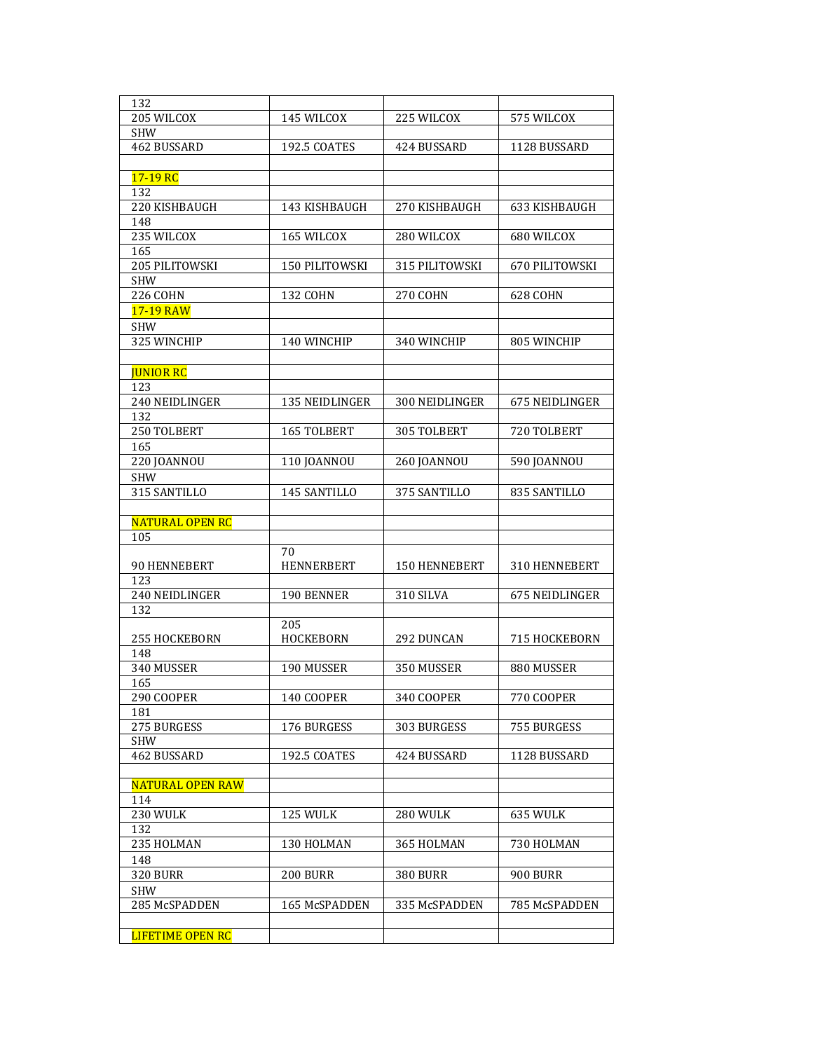| 132                              |                       |                       |                       |
|----------------------------------|-----------------------|-----------------------|-----------------------|
| 205 WILCOX                       | 145 WILCOX            | 225 WILCOX            | 575 WILCOX            |
| <b>SHW</b><br><b>462 BUSSARD</b> |                       | 424 BUSSARD           |                       |
|                                  | 192.5 COATES          |                       | 1128 BUSSARD          |
|                                  |                       |                       |                       |
| 17-19 RC<br>132                  |                       |                       |                       |
| 220 KISHBAUGH                    | 143 KISHBAUGH         | 270 KISHBAUGH         | 633 KISHBAUGH         |
| 148                              |                       |                       |                       |
| 235 WILCOX                       | 165 WILCOX            | 280 WILCOX            | 680 WILCOX            |
| 165                              |                       |                       |                       |
| 205 PILITOWSKI                   | 150 PILITOWSKI        | 315 PILITOWSKI        | 670 PILITOWSKI        |
| <b>SHW</b>                       |                       |                       |                       |
| 226 COHN                         | <b>132 COHN</b>       | <b>270 COHN</b>       | 628 COHN              |
| 17-19 RAW                        |                       |                       |                       |
| SHW                              |                       |                       |                       |
| 325 WINCHIP                      | 140 WINCHIP           | 340 WINCHIP           | 805 WINCHIP           |
|                                  |                       |                       |                       |
| <b>JUNIOR RC</b>                 |                       |                       |                       |
| 123                              |                       |                       |                       |
| 240 NEIDLINGER                   | <b>135 NEIDLINGER</b> | <b>300 NEIDLINGER</b> | <b>675 NEIDLINGER</b> |
| 132                              |                       |                       |                       |
| 250 TOLBERT                      | 165 TOLBERT           | 305 TOLBERT           | 720 TOLBERT           |
| 165                              |                       |                       |                       |
| 220 JOANNOU                      | <b>110 JOANNOU</b>    | 260 JOANNOU           | 590 JOANNOU           |
| SHW                              |                       |                       |                       |
| 315 SANTILLO                     | 145 SANTILLO          | 375 SANTILLO          | 835 SANTILLO          |
|                                  |                       |                       |                       |
| <b>NATURAL OPEN RC</b>           |                       |                       |                       |
| 105                              |                       |                       |                       |
|                                  | 70                    |                       |                       |
| 90 HENNEBERT<br>123              | <b>HENNERBERT</b>     | <b>150 HENNEBERT</b>  | 310 HENNEBERT         |
| 240 NEIDLINGER                   | 190 BENNER            | 310 SILVA             | <b>675 NEIDLINGER</b> |
| 132                              |                       |                       |                       |
|                                  | 205                   |                       |                       |
| <b>255 HOCKEBORN</b>             | <b>HOCKEBORN</b>      | 292 DUNCAN            | 715 HOCKEBORN         |
| 148                              |                       |                       |                       |
| 340 MUSSER                       | 190 MUSSER            | 350 MUSSER            | 880 MUSSER            |
| 165                              |                       |                       |                       |
| <b>290 COOPER</b>                | <b>140 COOPER</b>     | 340 COOPER            | <b>770 COOPER</b>     |
| 181                              |                       |                       |                       |
|                                  |                       |                       |                       |
| 275 BURGESS                      | 176 BURGESS           | 303 BURGESS           | 755 BURGESS           |
| SHW                              |                       |                       |                       |
| 462 BUSSARD                      | 192.5 COATES          | 424 BUSSARD           | 1128 BUSSARD          |
|                                  |                       |                       |                       |
| <b>NATURAL OPEN RAW</b>          |                       |                       |                       |
| 114                              |                       |                       |                       |
| 230 WULK                         | 125 WULK              | 280 WULK              | 635 WULK              |
| 132                              |                       |                       |                       |
| 235 HOLMAN                       | 130 HOLMAN            | 365 HOLMAN            | 730 HOLMAN            |
| 148                              |                       |                       |                       |
| <b>320 BURR</b>                  | <b>200 BURR</b>       | <b>380 BURR</b>       | 900 BURR              |
| <b>SHW</b>                       |                       |                       |                       |
| 285 McSPADDEN                    | 165 McSPADDEN         | 335 McSPADDEN         | 785 McSPADDEN         |
| <b>LIFETIME OPEN RC</b>          |                       |                       |                       |